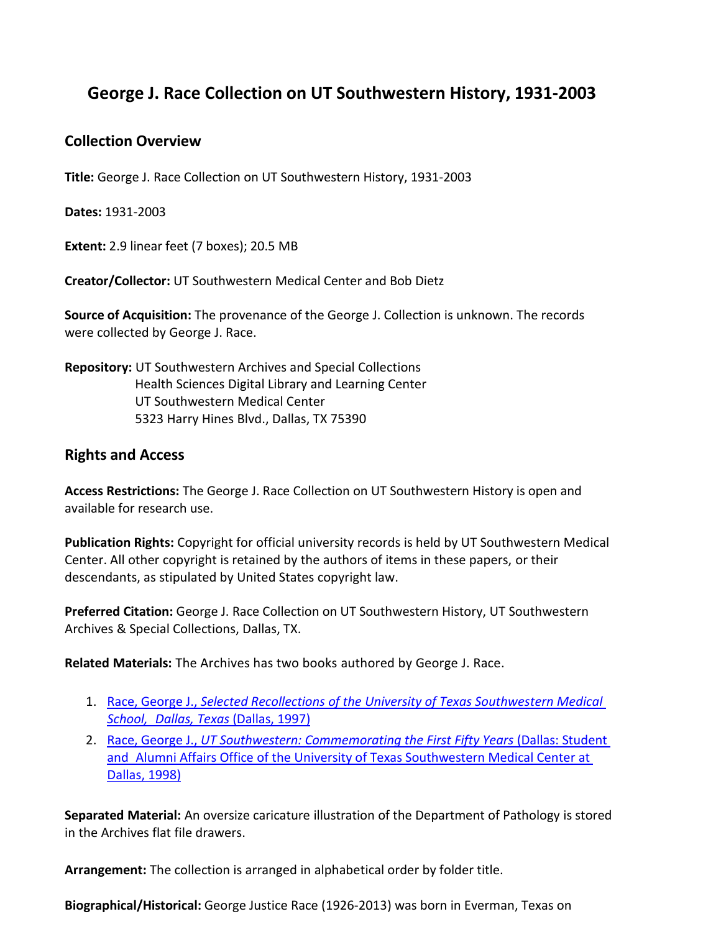# **George J. Race Collection on UT Southwestern History, 1931-2003**

# **Collection Overview**

**Title:** George J. Race Collection on UT Southwestern History, 1931-2003

**Dates:** 1931-2003

**Extent:** 2.9 linear feet (7 boxes); 20.5 MB

**Creator/Collector:** UT Southwestern Medical Center and Bob Dietz

**Source of Acquisition:** The provenance of the George J. Collection is unknown. The records were collected by George J. Race.

**Repository:** UT Southwestern Archives and Special Collections Health Sciences Digital Library and Learning Center UT Southwestern Medical Center 5323 Harry Hines Blvd., Dallas, TX 75390

# **Rights and Access**

**Access Restrictions:** The George J. Race Collection on UT Southwestern History is open and available for research use.

**Publication Rights:** Copyright for official university records is held by UT Southwestern Medical Center. All other copyright is retained by the authors of items in these papers, or their descendants, as stipulated by United States copyright law.

**Preferred Citation:** George J. Race Collection on UT Southwestern History, UT Southwestern Archives & Special Collections, Dallas, TX.

**Related Materials:** The Archives has two books authored by George J. Race.

- 1. Race, George J., *Selected Recollections of the University of Texas [Southwestern Medical](http://hdl.handle.net/2152.5/3249)  School, [Dallas, Texas](http://hdl.handle.net/2152.5/3249)* (Dallas, 1997)
- 2. Race, George J., *[UT Southwestern: Commemorating the First](https://utswm.bywatersolutions.com/cgi-bin/koha/opac-detail.pl?biblionumber=79202&query_desc=kw%2Cwrdl%3A%20WZ%2023%20U58%201998) Fifty Years* (Dallas: Student and Alumni Affairs [Office of the University](https://utswm.bywatersolutions.com/cgi-bin/koha/opac-detail.pl?biblionumber=79202&query_desc=kw%2Cwrdl%3A%20WZ%2023%20U58%201998) of Texas Southwestern Medical Center at [Dallas, 1998\)](https://utswm.bywatersolutions.com/cgi-bin/koha/opac-detail.pl?biblionumber=79202&query_desc=kw%2Cwrdl%3A%20WZ%2023%20U58%201998)

**Separated Material:** An oversize caricature illustration of the Department of Pathology is stored in the Archives flat file drawers.

**Arrangement:** The collection is arranged in alphabetical order by folder title.

**Biographical/Historical:** George Justice Race (1926-2013) was born in Everman, Texas on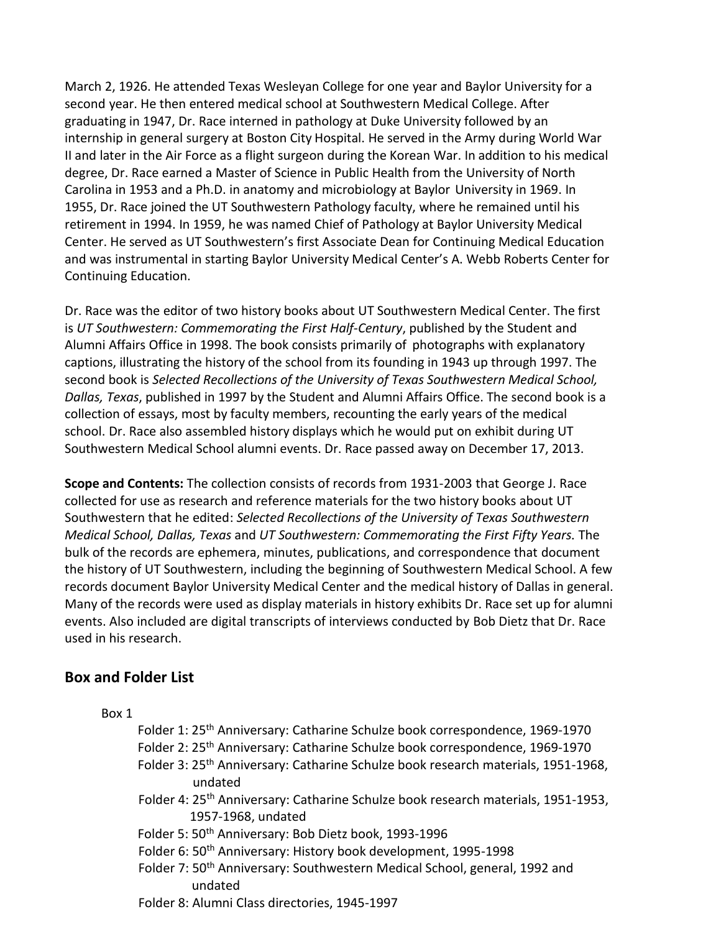March 2, 1926. He attended Texas Wesleyan College for one year and Baylor University for a second year. He then entered medical school at Southwestern Medical College. After graduating in 1947, Dr. Race interned in pathology at Duke University followed by an internship in general surgery at Boston City Hospital. He served in the Army during World War II and later in the Air Force as a flight surgeon during the Korean War. In addition to his medical degree, Dr. Race earned a Master of Science in Public Health from the University of North Carolina in 1953 and a Ph.D. in anatomy and microbiology at Baylor University in 1969. In 1955, Dr. Race joined the UT Southwestern Pathology faculty, where he remained until his retirement in 1994. In 1959, he was named Chief of Pathology at Baylor University Medical Center. He served as UT Southwestern's first Associate Dean for Continuing Medical Education and was instrumental in starting Baylor University Medical Center's A. Webb Roberts Center for Continuing Education.

Dr. Race was the editor of two history books about UT Southwestern Medical Center. The first is *UT Southwestern: Commemorating the First Half-Century*, published by the Student and Alumni Affairs Office in 1998. The book consists primarily of photographs with explanatory captions, illustrating the history of the school from its founding in 1943 up through 1997. The second book is *Selected Recollections of the University of Texas Southwestern Medical School, Dallas, Texas*, published in 1997 by the Student and Alumni Affairs Office. The second book is a collection of essays, most by faculty members, recounting the early years of the medical school. Dr. Race also assembled history displays which he would put on exhibit during UT Southwestern Medical School alumni events. Dr. Race passed away on December 17, 2013.

**Scope and Contents:** The collection consists of records from 1931-2003 that George J. Race collected for use as research and reference materials for the two history books about UT Southwestern that he edited: *Selected Recollections of the University of Texas Southwestern Medical School, Dallas, Texas* and *UT Southwestern: Commemorating the First Fifty Years.* The bulk of the records are ephemera, minutes, publications, and correspondence that document the history of UT Southwestern, including the beginning of Southwestern Medical School. A few records document Baylor University Medical Center and the medical history of Dallas in general. Many of the records were used as display materials in history exhibits Dr. Race set up for alumni events. Also included are digital transcripts of interviews conducted by Bob Dietz that Dr. Race used in his research.

# **Box and Folder List**

#### Box 1

- Folder 1: 25th Anniversary: Catharine Schulze book correspondence, 1969-1970
- Folder 2: 25th Anniversary: Catharine Schulze book correspondence, 1969-1970
- Folder 3: 25<sup>th</sup> Anniversary: Catharine Schulze book research materials, 1951-1968, undated
- Folder 4: 25<sup>th</sup> Anniversary: Catharine Schulze book research materials, 1951-1953, 1957-1968, undated
- Folder 5: 50th Anniversary: Bob Dietz book, 1993-1996
- Folder 6: 50<sup>th</sup> Anniversary: History book development, 1995-1998
- Folder 7: 50<sup>th</sup> Anniversary: Southwestern Medical School, general, 1992 and undated
- Folder 8: Alumni Class directories, 1945-1997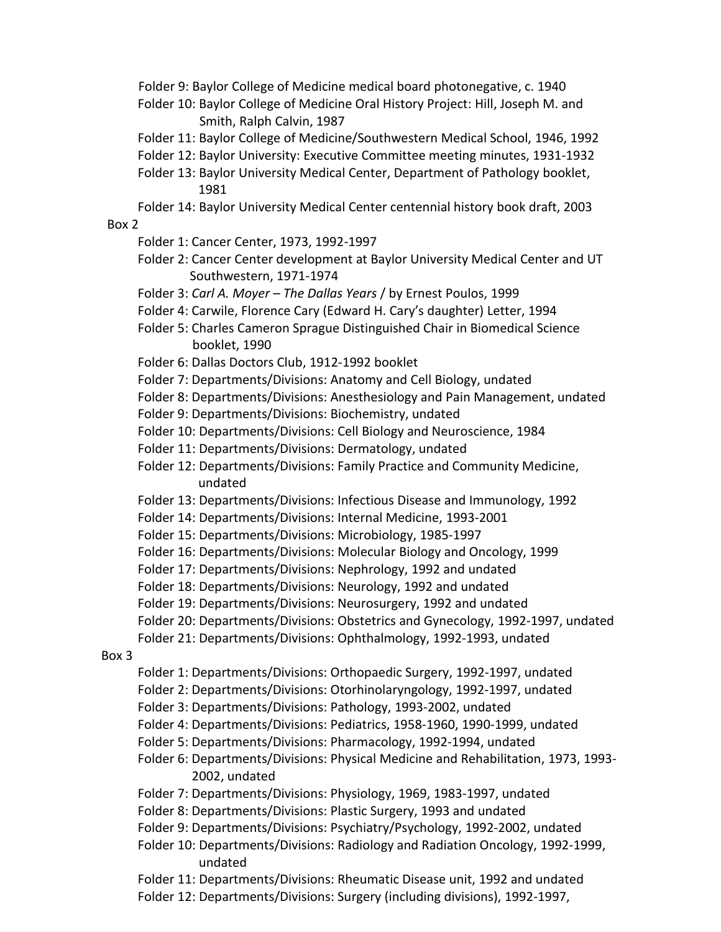Folder 9: Baylor College of Medicine medical board photonegative, c. 1940

- Folder 10: Baylor College of Medicine Oral History Project: Hill, Joseph M. and Smith, Ralph Calvin, 1987
- Folder 11: Baylor College of Medicine/Southwestern Medical School, 1946, 1992
- Folder 12: Baylor University: Executive Committee meeting minutes, 1931-1932
- Folder 13: Baylor University Medical Center, Department of Pathology booklet, 1981
- Folder 14: Baylor University Medical Center centennial history book draft, 2003 Box 2

- Folder 1: Cancer Center, 1973, 1992-1997
- Folder 2: Cancer Center development at Baylor University Medical Center and UT Southwestern, 1971-1974
- Folder 3: *Carl A. Moyer – The Dallas Years* / by Ernest Poulos, 1999
- Folder 4: Carwile, Florence Cary (Edward H. Cary's daughter) Letter, 1994
- Folder 5: Charles Cameron Sprague Distinguished Chair in Biomedical Science booklet, 1990
- Folder 6: Dallas Doctors Club, 1912-1992 booklet
- Folder 7: Departments/Divisions: Anatomy and Cell Biology, undated
- Folder 8: Departments/Divisions: Anesthesiology and Pain Management, undated
- Folder 9: Departments/Divisions: Biochemistry, undated
- Folder 10: Departments/Divisions: Cell Biology and Neuroscience, 1984
- Folder 11: Departments/Divisions: Dermatology, undated
- Folder 12: Departments/Divisions: Family Practice and Community Medicine, undated
- Folder 13: Departments/Divisions: Infectious Disease and Immunology, 1992
- Folder 14: Departments/Divisions: Internal Medicine, 1993-2001
- Folder 15: Departments/Divisions: Microbiology, 1985-1997
- Folder 16: Departments/Divisions: Molecular Biology and Oncology, 1999
- Folder 17: Departments/Divisions: Nephrology, 1992 and undated
- Folder 18: Departments/Divisions: Neurology, 1992 and undated
- Folder 19: Departments/Divisions: Neurosurgery, 1992 and undated
- Folder 20: Departments/Divisions: Obstetrics and Gynecology, 1992-1997, undated
- Folder 21: Departments/Divisions: Ophthalmology, 1992-1993, undated

#### Box 3

- Folder 1: Departments/Divisions: Orthopaedic Surgery, 1992-1997, undated
- Folder 2: Departments/Divisions: Otorhinolaryngology, 1992-1997, undated
- Folder 3: Departments/Divisions: Pathology, 1993-2002, undated
- Folder 4: Departments/Divisions: Pediatrics, 1958-1960, 1990-1999, undated
- Folder 5: Departments/Divisions: Pharmacology, 1992-1994, undated
- Folder 6: Departments/Divisions: Physical Medicine and Rehabilitation, 1973, 1993- 2002, undated
- Folder 7: Departments/Divisions: Physiology, 1969, 1983-1997, undated
- Folder 8: Departments/Divisions: Plastic Surgery, 1993 and undated
- Folder 9: Departments/Divisions: Psychiatry/Psychology, 1992-2002, undated
- Folder 10: Departments/Divisions: Radiology and Radiation Oncology, 1992-1999, undated
- Folder 11: Departments/Divisions: Rheumatic Disease unit, 1992 and undated
- Folder 12: Departments/Divisions: Surgery (including divisions), 1992-1997,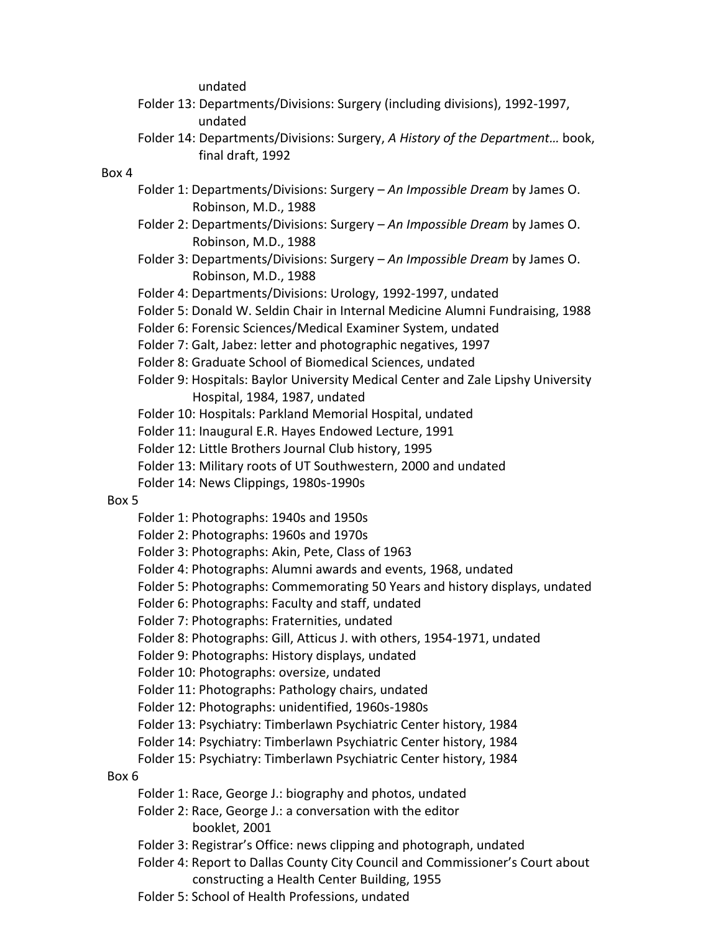undated

- Folder 13: Departments/Divisions: Surgery (including divisions), 1992-1997, undated
- Folder 14: Departments/Divisions: Surgery, *A History of the Department…* book, final draft, 1992

#### Box 4

- Folder 1: Departments/Divisions: Surgery *An Impossible Dream* by James O. Robinson, M.D., 1988
- Folder 2: Departments/Divisions: Surgery *An Impossible Dream* by James O. Robinson, M.D., 1988
- Folder 3: Departments/Divisions: Surgery *An Impossible Dream* by James O. Robinson, M.D., 1988
- Folder 4: Departments/Divisions: Urology, 1992-1997, undated
- Folder 5: Donald W. Seldin Chair in Internal Medicine Alumni Fundraising, 1988
- Folder 6: Forensic Sciences/Medical Examiner System, undated
- Folder 7: Galt, Jabez: letter and photographic negatives, 1997
- Folder 8: Graduate School of Biomedical Sciences, undated
- Folder 9: Hospitals: Baylor University Medical Center and Zale Lipshy University Hospital, 1984, 1987, undated
- Folder 10: Hospitals: Parkland Memorial Hospital, undated
- Folder 11: Inaugural E.R. Hayes Endowed Lecture, 1991
- Folder 12: Little Brothers Journal Club history, 1995
- Folder 13: Military roots of UT Southwestern, 2000 and undated
- Folder 14: News Clippings, 1980s-1990s

#### Box 5

- Folder 1: Photographs: 1940s and 1950s
- Folder 2: Photographs: 1960s and 1970s
- Folder 3: Photographs: Akin, Pete, Class of 1963
- Folder 4: Photographs: Alumni awards and events, 1968, undated
- Folder 5: Photographs: Commemorating 50 Years and history displays, undated
- Folder 6: Photographs: Faculty and staff, undated
- Folder 7: Photographs: Fraternities, undated
- Folder 8: Photographs: Gill, Atticus J. with others, 1954-1971, undated
- Folder 9: Photographs: History displays, undated
- Folder 10: Photographs: oversize, undated
- Folder 11: Photographs: Pathology chairs, undated
- Folder 12: Photographs: unidentified, 1960s-1980s
- Folder 13: Psychiatry: Timberlawn Psychiatric Center history, 1984
- Folder 14: Psychiatry: Timberlawn Psychiatric Center history, 1984
- Folder 15: Psychiatry: Timberlawn Psychiatric Center history, 1984

#### Box 6

- Folder 1: Race, George J.: biography and photos, undated
- Folder 2: Race, George J.: a conversation with the editor booklet, 2001
- Folder 3: Registrar's Office: news clipping and photograph, undated
- Folder 4: Report to Dallas County City Council and Commissioner's Court about constructing a Health Center Building, 1955
- Folder 5: School of Health Professions, undated